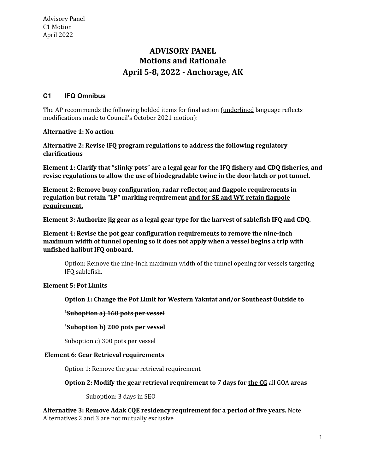# **Motions and Rationale April 5-8, 2022 - Anchorage, AK ADVISORY PANEL**

# **C1 IFQ Omnibus**

The AP recommends the following bolded items for final action (<u>underlined</u> language reflects modifications made to Council's October 2021 motion):

# **Alternative 1: No action**

 **Alternative 2: Revise IFQ program regulations to address the following regulatory clarifications**

Element 1: Clarify that "slinky pots" are a legal gear for the IFQ fishery and CDQ fisheries, and  **revise regulations to allow the use of biodegradable twine in the door latch or pot tunnel.**

 **Element 2: Remove buoy configuration, radar reflector, and flagpole requirements in regulation but retain "LP" marking requirement and for SE and WY, retain flagpole requirement.**

Element 3: Authorize jig gear as a legal gear type for the harvest of sablefish IFQ and CDQ.

 **Element 4: Revise the pot gear configuration requirements to remove the nine-inch maximum width of tunnel opening so it does not apply when a vessel begins a trip with unfished halibut IFQ onboard.**

 Option: Remove the nine-inch maximum width of the tunnel opening for vessels targeting IFQ sablefish.

#### **Element 5: Pot Limits**

 **Option 1: Change the Pot Limit for Western Yakutat and/or Southeast Outside to**

# **1 Suboption a) 160 pots per vessel**

#### **1 Suboption b) 200 pots per vessel**

Suboption c) 300 pots per vessel

#### **Element 6: Gear Retrieval requirements**

Option 1: Remove the gear retrieval requirement

#### **Option 2: Modify the gear retrieval requirement to 7 days for the CG** all GOA **areas**

Suboption: 3 days in SEO

 **Alternative 3: Remove Adak CQE residency requirement for a period of five years.** Note: Alternatives 2 and 3 are not mutually exclusive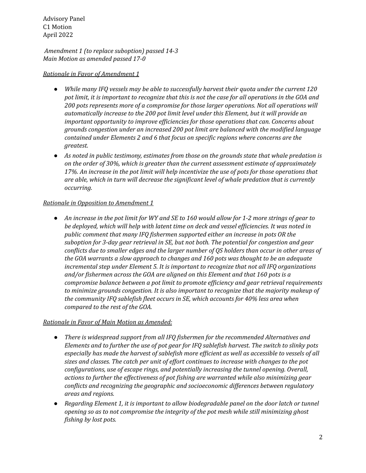Advisory Panel C1 Motion April 2022

 *Amendment 1 (to replace suboption) passed 14-3 Main Motion as amended passed 17-0*

## *Rationale in Favor of Amendment 1*

- *● While many IFQ vessels may be able to successfully harvest their quota under the current 120* pot limit, it is important to recognize that this is not the case for all operations in the GOA and  *200 pots represents more of a compromise for those larger operations. Not all operations will automatically increase to the 200 pot limit level under this Element, but it will provide an important opportunity to improve efficiencies for those operations that can. Concerns about grounds congestion under an increased 200 pot limit are balanced with the modified language contained under Elements 2 and 6 that focus on specific regions where concerns are the greatest.*
- As noted in public testimony, estimates from those on the grounds state that whale predation is  *on the order of 30%, which is greater than the current assessment estimate of approximately* 17%. An increase in the pot limit will help incentivize the use of pots for those operations that  *are able, which in turn will decrease the significant level of whale predation that is currently occurring.*

#### *Rationale in Opposition to Amendment 1*

• An increase in the pot limit for WY and SE to 160 would allow for 1-2 more strings of gear to  *be deployed, which will help with latent time on deck and vessel efficiencies. It was noted in public comment that many IFQ fishermen supported either an increase in pots OR the suboption for 3-day gear retrieval in SE, but not both. The potential for congestion and gear* conflicts due to smaller edges and the larger number of QS holders than occur in other areas of  *the GOA warrants a slow approach to changes and 160 pots was thought to be an adequate incremental step under Element 5. It is important to recognize that not all IFQ organizations and/or fishermen across the GOA are aligned on this Element and that 160 pots is a compromise balance between a pot limit to promote efficiency and gear retrieval requirements to minimize grounds congestion. It is also important to recognize that the majority makeup of the community IFQ sablefish fleet occurs in SE, which accounts for 40% less area when compared to the rest of the GOA.*

## *Rationale in Favor of Main Motion as Amended:*

- *● There is widespread support from all IFQ fishermen for the recommended Alternatives and* Elements and to further the use of pot gear for IFQ sablefish harvest. The switch to slinky pots especially has made the harvest of sablefish more efficient as well as accessible to vessels of all  *sizes and classes. The catch per unit of effort continues to increase with changes to the pot configurations, use of escape rings, and potentially increasing the tunnel opening. Overall, actions to further the effectiveness of pot fishing are warranted while also minimizing gear conflicts and recognizing the geographic and socioeconomic differences between regulatory areas and regions.*
- *● Regarding Element 1, it is important to allow biodegradable panel on the door latch or tunnel opening so as to not compromise the integrity of the pot mesh while still minimizing ghost fishing by lost pots.*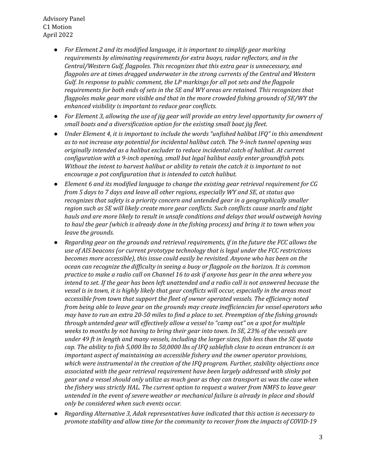Advisory Panel C1 Motion April 2022

- *● For Element 2 and its modified language, it is important to simplify gear marking requirements by eliminating requirements for extra buoys, radar reflectors, and in the Central/Western Gulf, flagpoles. This recognizes that this extra gear is unnecessary, and flagpoles are at times dragged underwater in the strong currents of the Central and Western Gulf. In response to public comment, the LP markings for all pot sets and the flagpole requirements for both ends of sets in the SE and WY areas are retained. This recognizes that flagpoles make gear more visible and that in the more crowded fishing grounds of SE/WY the enhanced visibility is important to reduce gear conflicts.*
- For Element 3, allowing the use of jig gear will provide an entry level opportunity for owners of  *small boats and a diversification option for the existing small boat jig fleet.*
- *● Under Element 4, it is important to include the words "unfished halibut IFQ" in this amendment as to not increase any potential for incidental halibut catch. The 9-inch tunnel opening was originally intended as a halibut excluder to reduce incidental catch of halibut. At current configuration with a 9-inch opening, small but legal halibut easily enter groundfish pots. Without the intent to harvest halibut or ability to retain the catch it is important to not encourage a pot configuration that is intended to catch halibut.*
- *● Element 6 and its modified language to change the existing gear retrieval requirement for CG from 5 days to 7 days and leave all other regions, especially WY and SE, at status quo recognizes that safety is a priority concern and untended gear in a geographically smaller region such as SE will likely create more gear conflicts. Such conflicts cause snarls and tight hauls and are more likely to result in unsafe conditions and delays that would outweigh having* to haul the gear (which is already done in the fishing process) and bring it to town when you  *leave the grounds.*
- *● Regarding gear on the grounds and retrieval requirements, if in the future the FCC allows the use of AIS beacons (or current prototype technology that is legal under the FCC restrictions becomes more accessible), this issue could easily be revisited. Anyone who has been on the ocean can recognize the difficulty in seeing a buoy or flagpole on the horizon. It is common* practice to make a radio call on Channel 16 to ask if anyone has gear in the area where you intend to set. If the gear has been left unattended and a radio call is not answered because the vessel is in town, it is highly likely that gear conflicts will occur, especially in the areas most  *accessible from town that support the fleet of owner operated vessels. The efficiency noted from being able to leave gear on the grounds may create inefficiencies for vessel operators who* may have to run an extra 20-50 miles to find a place to set. Preemption of the fishing grounds  *through untended gear will effectively allow a vessel to "camp out" on a spot for multiple* weeks to months by not having to bring their gear into town. In SE, 23% of the vessels are under 49 ft in length and many vessels, including the larger sizes, fish less than the SE quota cap. The ability to fish 5,000 lbs to 50,0000 lbs of IFQ sablefish close to ocean entrances is an  *important aspect of maintaining an accessible fishery and the owner operator provisions, which were instrumental in the creation of the IFQ program. Further, stability objections once associated with the gear retrieval requirement have been largely addressed with slinky pot* gear and a vessel should only utilize as much gear as they can transport as was the case when  *the fishery was strictly HAL. The current option to request a waiver from NMFS to leave gear untended in the event of severe weather or mechanical failure is already in place and should only be considered when such events occur.*
- *● Regarding Alternative 3, Adak representatives have indicated that this action is necessary to promote stability and allow time for the community to recover from the impacts of COVID-19*